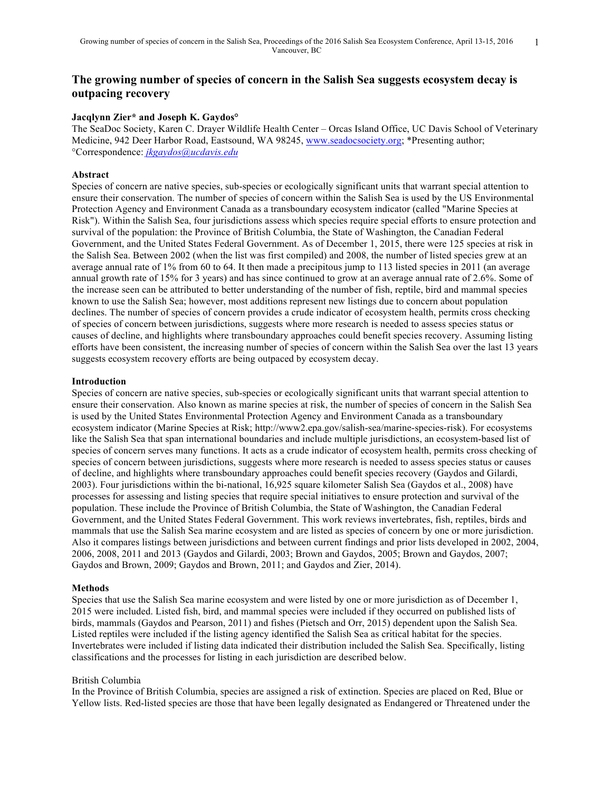# **The growing number of species of concern in the Salish Sea suggests ecosystem decay is outpacing recovery**

### **Jacqlynn Zier\* and Joseph K. Gaydos°**

The SeaDoc Society, Karen C. Drayer Wildlife Health Center – Orcas Island Office, UC Davis School of Veterinary Medicine, 942 Deer Harbor Road, Eastsound, WA 98245, www.seadocsociety.org; \*Presenting author; °Correspondence: *jkgaydos@ucdavis.edu*

### **Abstract**

Species of concern are native species, sub-species or ecologically significant units that warrant special attention to ensure their conservation. The number of species of concern within the Salish Sea is used by the US Environmental Protection Agency and Environment Canada as a transboundary ecosystem indicator (called "Marine Species at Risk"). Within the Salish Sea, four jurisdictions assess which species require special efforts to ensure protection and survival of the population: the Province of British Columbia, the State of Washington, the Canadian Federal Government, and the United States Federal Government. As of December 1, 2015, there were 125 species at risk in the Salish Sea. Between 2002 (when the list was first compiled) and 2008, the number of listed species grew at an average annual rate of 1% from 60 to 64. It then made a precipitous jump to 113 listed species in 2011 (an average annual growth rate of 15% for 3 years) and has since continued to grow at an average annual rate of 2.6%. Some of the increase seen can be attributed to better understanding of the number of fish, reptile, bird and mammal species known to use the Salish Sea; however, most additions represent new listings due to concern about population declines. The number of species of concern provides a crude indicator of ecosystem health, permits cross checking of species of concern between jurisdictions, suggests where more research is needed to assess species status or causes of decline, and highlights where transboundary approaches could benefit species recovery. Assuming listing efforts have been consistent, the increasing number of species of concern within the Salish Sea over the last 13 years suggests ecosystem recovery efforts are being outpaced by ecosystem decay.

### **Introduction**

Species of concern are native species, sub-species or ecologically significant units that warrant special attention to ensure their conservation. Also known as marine species at risk, the number of species of concern in the Salish Sea is used by the United States Environmental Protection Agency and Environment Canada as a transboundary ecosystem indicator (Marine Species at Risk; http://www2.epa.gov/salish-sea/marine-species-risk). For ecosystems like the Salish Sea that span international boundaries and include multiple jurisdictions, an ecosystem-based list of species of concern serves many functions. It acts as a crude indicator of ecosystem health, permits cross checking of species of concern between jurisdictions, suggests where more research is needed to assess species status or causes of decline, and highlights where transboundary approaches could benefit species recovery (Gaydos and Gilardi, 2003). Four jurisdictions within the bi-national, 16,925 square kilometer Salish Sea (Gaydos et al., 2008) have processes for assessing and listing species that require special initiatives to ensure protection and survival of the population. These include the Province of British Columbia, the State of Washington, the Canadian Federal Government, and the United States Federal Government. This work reviews invertebrates, fish, reptiles, birds and mammals that use the Salish Sea marine ecosystem and are listed as species of concern by one or more jurisdiction. Also it compares listings between jurisdictions and between current findings and prior lists developed in 2002, 2004, 2006, 2008, 2011 and 2013 (Gaydos and Gilardi, 2003; Brown and Gaydos, 2005; Brown and Gaydos, 2007; Gaydos and Brown, 2009; Gaydos and Brown, 2011; and Gaydos and Zier, 2014).

### **Methods**

Species that use the Salish Sea marine ecosystem and were listed by one or more jurisdiction as of December 1, 2015 were included. Listed fish, bird, and mammal species were included if they occurred on published lists of birds, mammals (Gaydos and Pearson, 2011) and fishes (Pietsch and Orr, 2015) dependent upon the Salish Sea. Listed reptiles were included if the listing agency identified the Salish Sea as critical habitat for the species. Invertebrates were included if listing data indicated their distribution included the Salish Sea. Specifically, listing classifications and the processes for listing in each jurisdiction are described below.

### British Columbia

In the Province of British Columbia, species are assigned a risk of extinction. Species are placed on Red, Blue or Yellow lists. Red-listed species are those that have been legally designated as Endangered or Threatened under the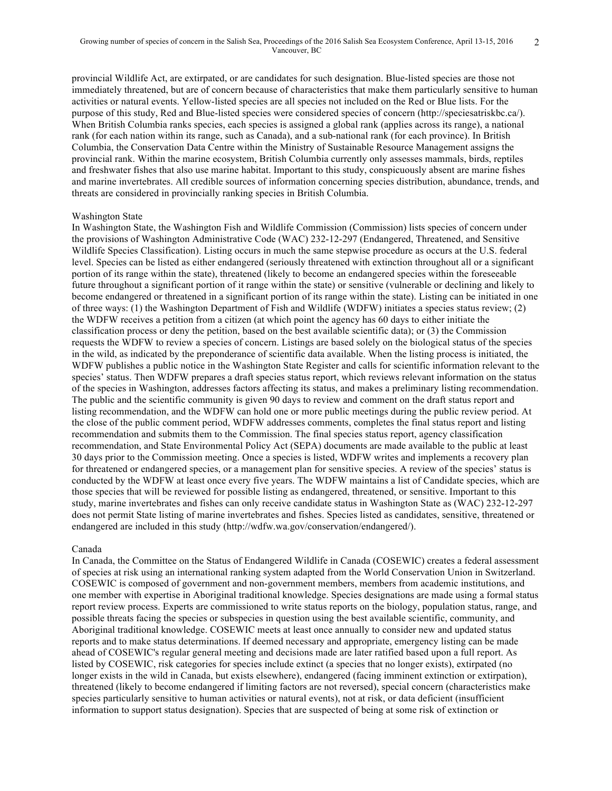provincial Wildlife Act, are extirpated, or are candidates for such designation. Blue-listed species are those not immediately threatened, but are of concern because of characteristics that make them particularly sensitive to human activities or natural events. Yellow-listed species are all species not included on the Red or Blue lists. For the purpose of this study, Red and Blue-listed species were considered species of concern (http://speciesatriskbc.ca/). When British Columbia ranks species, each species is assigned a global rank (applies across its range), a national rank (for each nation within its range, such as Canada), and a sub-national rank (for each province). In British Columbia, the Conservation Data Centre within the Ministry of Sustainable Resource Management assigns the provincial rank. Within the marine ecosystem, British Columbia currently only assesses mammals, birds, reptiles and freshwater fishes that also use marine habitat. Important to this study, conspicuously absent are marine fishes and marine invertebrates. All credible sources of information concerning species distribution, abundance, trends, and threats are considered in provincially ranking species in British Columbia.

#### Washington State

In Washington State, the Washington Fish and Wildlife Commission (Commission) lists species of concern under the provisions of Washington Administrative Code (WAC) 232-12-297 (Endangered, Threatened, and Sensitive Wildlife Species Classification). Listing occurs in much the same stepwise procedure as occurs at the U.S. federal level. Species can be listed as either endangered (seriously threatened with extinction throughout all or a significant portion of its range within the state), threatened (likely to become an endangered species within the foreseeable future throughout a significant portion of it range within the state) or sensitive (vulnerable or declining and likely to become endangered or threatened in a significant portion of its range within the state). Listing can be initiated in one of three ways: (1) the Washington Department of Fish and Wildlife (WDFW) initiates a species status review; (2) the WDFW receives a petition from a citizen (at which point the agency has 60 days to either initiate the classification process or deny the petition, based on the best available scientific data); or (3) the Commission requests the WDFW to review a species of concern. Listings are based solely on the biological status of the species in the wild, as indicated by the preponderance of scientific data available. When the listing process is initiated, the WDFW publishes a public notice in the Washington State Register and calls for scientific information relevant to the species' status. Then WDFW prepares a draft species status report, which reviews relevant information on the status of the species in Washington, addresses factors affecting its status, and makes a preliminary listing recommendation. The public and the scientific community is given 90 days to review and comment on the draft status report and listing recommendation, and the WDFW can hold one or more public meetings during the public review period. At the close of the public comment period, WDFW addresses comments, completes the final status report and listing recommendation and submits them to the Commission. The final species status report, agency classification recommendation, and State Environmental Policy Act (SEPA) documents are made available to the public at least 30 days prior to the Commission meeting. Once a species is listed, WDFW writes and implements a recovery plan for threatened or endangered species, or a management plan for sensitive species. A review of the species' status is conducted by the WDFW at least once every five years. The WDFW maintains a list of Candidate species, which are those species that will be reviewed for possible listing as endangered, threatened, or sensitive. Important to this study, marine invertebrates and fishes can only receive candidate status in Washington State as (WAC) 232-12-297 does not permit State listing of marine invertebrates and fishes. Species listed as candidates, sensitive, threatened or endangered are included in this study (http://wdfw.wa.gov/conservation/endangered/).

#### Canada

In Canada, the Committee on the Status of Endangered Wildlife in Canada (COSEWIC) creates a federal assessment of species at risk using an international ranking system adapted from the World Conservation Union in Switzerland. COSEWIC is composed of government and non-government members, members from academic institutions, and one member with expertise in Aboriginal traditional knowledge. Species designations are made using a formal status report review process. Experts are commissioned to write status reports on the biology, population status, range, and possible threats facing the species or subspecies in question using the best available scientific, community, and Aboriginal traditional knowledge. COSEWIC meets at least once annually to consider new and updated status reports and to make status determinations. If deemed necessary and appropriate, emergency listing can be made ahead of COSEWIC's regular general meeting and decisions made are later ratified based upon a full report. As listed by COSEWIC, risk categories for species include extinct (a species that no longer exists), extirpated (no longer exists in the wild in Canada, but exists elsewhere), endangered (facing imminent extinction or extirpation), threatened (likely to become endangered if limiting factors are not reversed), special concern (characteristics make species particularly sensitive to human activities or natural events), not at risk, or data deficient (insufficient information to support status designation). Species that are suspected of being at some risk of extinction or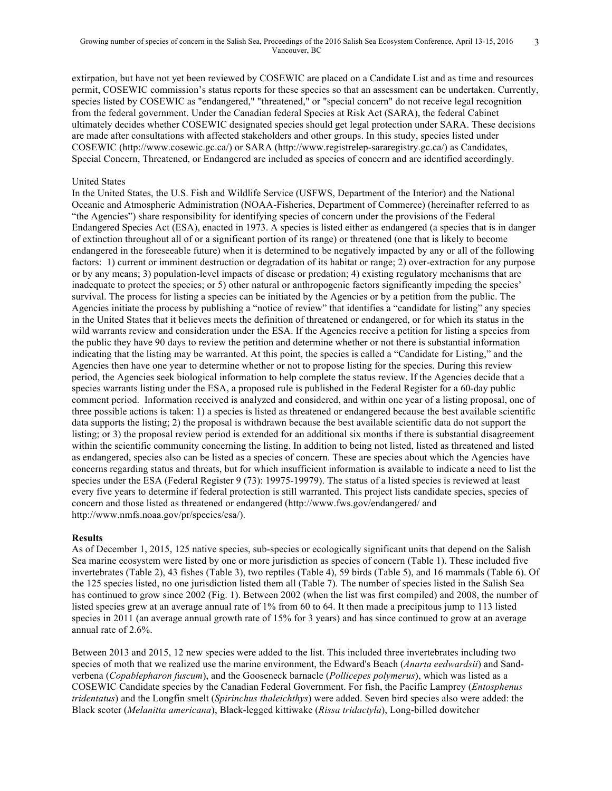extirpation, but have not yet been reviewed by COSEWIC are placed on a Candidate List and as time and resources permit, COSEWIC commission's status reports for these species so that an assessment can be undertaken. Currently, species listed by COSEWIC as "endangered," "threatened," or "special concern" do not receive legal recognition from the federal government. Under the Canadian federal Species at Risk Act (SARA), the federal Cabinet ultimately decides whether COSEWIC designated species should get legal protection under SARA. These decisions are made after consultations with affected stakeholders and other groups. In this study, species listed under COSEWIC (http://www.cosewic.gc.ca/) or SARA (http://www.registrelep-sararegistry.gc.ca/) as Candidates, Special Concern, Threatened, or Endangered are included as species of concern and are identified accordingly.

### United States

In the United States, the U.S. Fish and Wildlife Service (USFWS, Department of the Interior) and the National Oceanic and Atmospheric Administration (NOAA-Fisheries, Department of Commerce) (hereinafter referred to as "the Agencies") share responsibility for identifying species of concern under the provisions of the Federal Endangered Species Act (ESA), enacted in 1973. A species is listed either as endangered (a species that is in danger of extinction throughout all of or a significant portion of its range) or threatened (one that is likely to become endangered in the foreseeable future) when it is determined to be negatively impacted by any or all of the following factors: 1) current or imminent destruction or degradation of its habitat or range; 2) over-extraction for any purpose or by any means; 3) population-level impacts of disease or predation; 4) existing regulatory mechanisms that are inadequate to protect the species; or 5) other natural or anthropogenic factors significantly impeding the species' survival. The process for listing a species can be initiated by the Agencies or by a petition from the public. The Agencies initiate the process by publishing a "notice of review" that identifies a "candidate for listing" any species in the United States that it believes meets the definition of threatened or endangered, or for which its status in the wild warrants review and consideration under the ESA. If the Agencies receive a petition for listing a species from the public they have 90 days to review the petition and determine whether or not there is substantial information indicating that the listing may be warranted. At this point, the species is called a "Candidate for Listing," and the Agencies then have one year to determine whether or not to propose listing for the species. During this review period, the Agencies seek biological information to help complete the status review. If the Agencies decide that a species warrants listing under the ESA, a proposed rule is published in the Federal Register for a 60-day public comment period. Information received is analyzed and considered, and within one year of a listing proposal, one of three possible actions is taken: 1) a species is listed as threatened or endangered because the best available scientific data supports the listing; 2) the proposal is withdrawn because the best available scientific data do not support the listing; or 3) the proposal review period is extended for an additional six months if there is substantial disagreement within the scientific community concerning the listing. In addition to being not listed, listed as threatened and listed as endangered, species also can be listed as a species of concern. These are species about which the Agencies have concerns regarding status and threats, but for which insufficient information is available to indicate a need to list the species under the ESA (Federal Register 9 (73): 19975-19979). The status of a listed species is reviewed at least every five years to determine if federal protection is still warranted. This project lists candidate species, species of concern and those listed as threatened or endangered (http://www.fws.gov/endangered/ and http://www.nmfs.noaa.gov/pr/species/esa/).

### **Results**

As of December 1, 2015, 125 native species, sub-species or ecologically significant units that depend on the Salish Sea marine ecosystem were listed by one or more jurisdiction as species of concern (Table 1). These included five invertebrates (Table 2), 43 fishes (Table 3), two reptiles (Table 4), 59 birds (Table 5), and 16 mammals (Table 6). Of the 125 species listed, no one jurisdiction listed them all (Table 7). The number of species listed in the Salish Sea has continued to grow since 2002 (Fig. 1). Between 2002 (when the list was first compiled) and 2008, the number of listed species grew at an average annual rate of 1% from 60 to 64. It then made a precipitous jump to 113 listed species in 2011 (an average annual growth rate of 15% for 3 years) and has since continued to grow at an average annual rate of 2.6%.

Between 2013 and 2015, 12 new species were added to the list. This included three invertebrates including two species of moth that we realized use the marine environment, the Edward's Beach (*Anarta eedwardsii*) and Sandverbena (*Copablepharon fuscum*), and the Gooseneck barnacle (*Pollicepes polymerus*), which was listed as a COSEWIC Candidate species by the Canadian Federal Government. For fish, the Pacific Lamprey (*Entosphenus tridentatus*) and the Longfin smelt (*Spirinchus thaleichthys*) were added. Seven bird species also were added: the Black scoter (*Melanitta americana*), Black-legged kittiwake (*Rissa tridactyla*), Long-billed dowitcher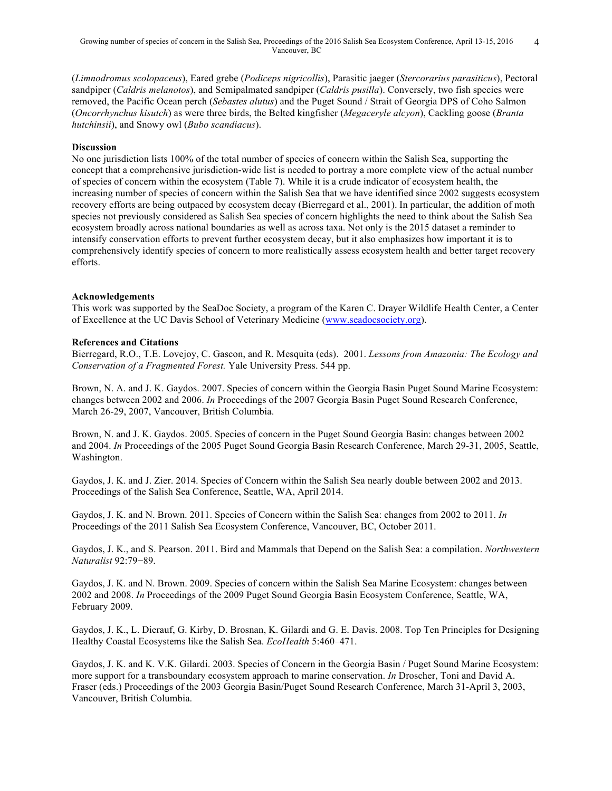(*Limnodromus scolopaceus*), Eared grebe (*Podiceps nigricollis*), Parasitic jaeger (*Stercorarius parasiticus*), Pectoral sandpiper (*Caldris melanotos*), and Semipalmated sandpiper (*Caldris pusilla*). Conversely, two fish species were removed, the Pacific Ocean perch (*Sebastes alutus*) and the Puget Sound / Strait of Georgia DPS of Coho Salmon (*Oncorrhynchus kisutch*) as were three birds, the Belted kingfisher (*Megaceryle alcyon*), Cackling goose (*Branta hutchinsii*), and Snowy owl (*Bubo scandiacus*).

### **Discussion**

No one jurisdiction lists 100% of the total number of species of concern within the Salish Sea, supporting the concept that a comprehensive jurisdiction-wide list is needed to portray a more complete view of the actual number of species of concern within the ecosystem (Table 7). While it is a crude indicator of ecosystem health, the increasing number of species of concern within the Salish Sea that we have identified since 2002 suggests ecosystem recovery efforts are being outpaced by ecosystem decay (Bierregard et al., 2001). In particular, the addition of moth species not previously considered as Salish Sea species of concern highlights the need to think about the Salish Sea ecosystem broadly across national boundaries as well as across taxa. Not only is the 2015 dataset a reminder to intensify conservation efforts to prevent further ecosystem decay, but it also emphasizes how important it is to comprehensively identify species of concern to more realistically assess ecosystem health and better target recovery efforts.

### **Acknowledgements**

This work was supported by the SeaDoc Society, a program of the Karen C. Drayer Wildlife Health Center, a Center of Excellence at the UC Davis School of Veterinary Medicine (www.seadocsociety.org).

### **References and Citations**

Bierregard, R.O., T.E. Lovejoy, C. Gascon, and R. Mesquita (eds). 2001. *Lessons from Amazonia: The Ecology and Conservation of a Fragmented Forest.* Yale University Press. 544 pp.

Brown, N. A. and J. K. Gaydos. 2007. Species of concern within the Georgia Basin Puget Sound Marine Ecosystem: changes between 2002 and 2006. *In* Proceedings of the 2007 Georgia Basin Puget Sound Research Conference, March 26-29, 2007, Vancouver, British Columbia.

Brown, N. and J. K. Gaydos. 2005. Species of concern in the Puget Sound Georgia Basin: changes between 2002 and 2004. *In* Proceedings of the 2005 Puget Sound Georgia Basin Research Conference, March 29-31, 2005, Seattle, Washington.

Gaydos, J. K. and J. Zier. 2014. Species of Concern within the Salish Sea nearly double between 2002 and 2013. Proceedings of the Salish Sea Conference, Seattle, WA, April 2014.

Gaydos, J. K. and N. Brown. 2011. Species of Concern within the Salish Sea: changes from 2002 to 2011. *In*  Proceedings of the 2011 Salish Sea Ecosystem Conference, Vancouver, BC, October 2011.

Gaydos, J. K., and S. Pearson. 2011. Bird and Mammals that Depend on the Salish Sea: a compilation. *Northwestern Naturalist* 92:79−89.

Gaydos, J. K. and N. Brown. 2009. Species of concern within the Salish Sea Marine Ecosystem: changes between 2002 and 2008. *In* Proceedings of the 2009 Puget Sound Georgia Basin Ecosystem Conference, Seattle, WA, February 2009.

Gaydos, J. K., L. Dierauf, G. Kirby, D. Brosnan, K. Gilardi and G. E. Davis. 2008. Top Ten Principles for Designing Healthy Coastal Ecosystems like the Salish Sea. *EcoHealth* 5:460–471.

Gaydos, J. K. and K. V.K. Gilardi. 2003. Species of Concern in the Georgia Basin / Puget Sound Marine Ecosystem: more support for a transboundary ecosystem approach to marine conservation. *In* Droscher, Toni and David A. Fraser (eds.) Proceedings of the 2003 Georgia Basin/Puget Sound Research Conference, March 31-April 3, 2003, Vancouver, British Columbia.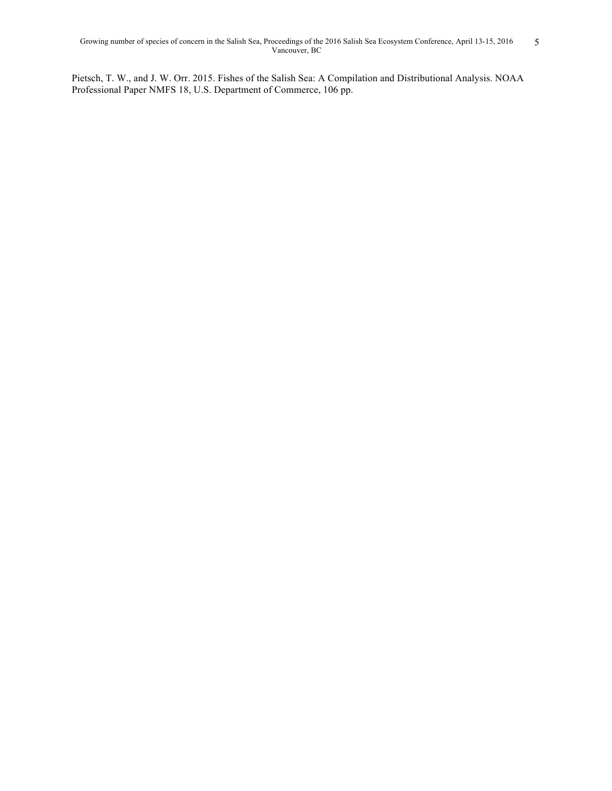Pietsch, T. W., and J. W. Orr. 2015. Fishes of the Salish Sea: A Compilation and Distributional Analysis. NOAA Professional Paper NMFS 18, U.S. Department of Commerce, 106 pp.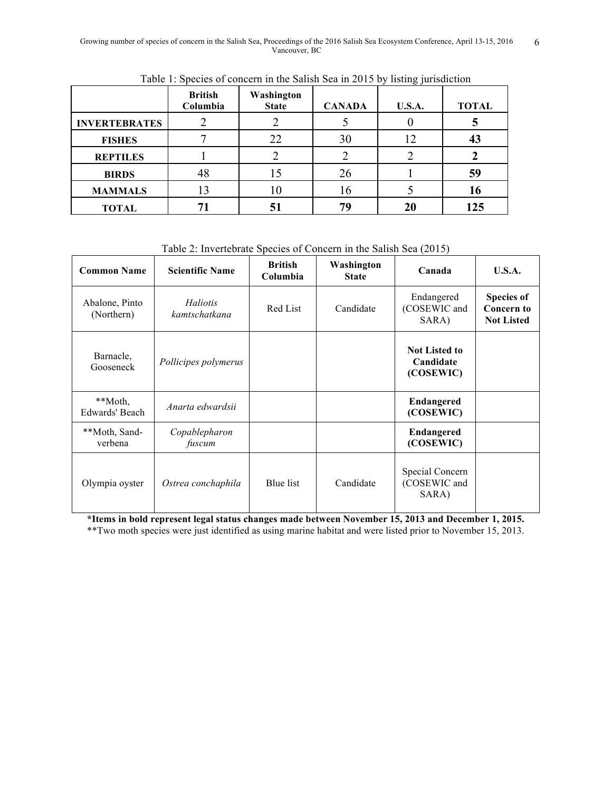|                      | <b>British</b><br>Columbia | Washington<br><b>State</b> | <b>CANADA</b> | <b>U.S.A.</b> | <b>TOTAL</b> |
|----------------------|----------------------------|----------------------------|---------------|---------------|--------------|
| <b>INVERTEBRATES</b> |                            |                            |               |               |              |
| <b>FISHES</b>        |                            | 22                         | 30            | 12            | 43           |
| <b>REPTILES</b>      |                            |                            |               |               |              |
| <b>BIRDS</b>         | 48                         | 15                         | 26            |               | 59           |
| <b>MAMMALS</b>       | 13                         |                            | 16            |               | 16           |
| <b>TOTAL</b>         |                            |                            | 79            |               | 125          |

Table 1: Species of concern in the Salish Sea in 2015 by listing jurisdiction

Table 2: Invertebrate Species of Concern in the Salish Sea (2015)

| <b>Common Name</b>           | <b>Scientific Name</b>    | <b>British</b><br>Columbia | Washington<br><b>State</b> | Canada                                         | U.S.A.                                                      |
|------------------------------|---------------------------|----------------------------|----------------------------|------------------------------------------------|-------------------------------------------------------------|
| Abalone, Pinto<br>(Northern) | Haliotis<br>kamtschatkana | Red List                   | Candidate                  | Endangered<br>(COSEWIC and<br>SARA)            | <b>Species of</b><br><b>Concern to</b><br><b>Not Listed</b> |
| Barnacle,<br>Gooseneck       | Pollicipes polymerus      |                            |                            | <b>Not Listed to</b><br>Candidate<br>(COSEWIC) |                                                             |
| **Moth,<br>Edwards' Beach    | Anarta edwardsii          |                            |                            | <b>Endangered</b><br>(COSEWIC)                 |                                                             |
| **Moth, Sand-<br>verbena     | Copablepharon<br>fuscum   |                            |                            | <b>Endangered</b><br>(COSEWIC)                 |                                                             |
| Olympia oyster               | Ostrea conchaphila        | Blue list                  | Candidate                  | Special Concern<br>(COSEWIC and<br>SARA)       |                                                             |

**\*Items in bold represent legal status changes made between November 15, 2013 and December 1, 2015.** \*\*Two moth species were just identified as using marine habitat and were listed prior to November 15, 2013.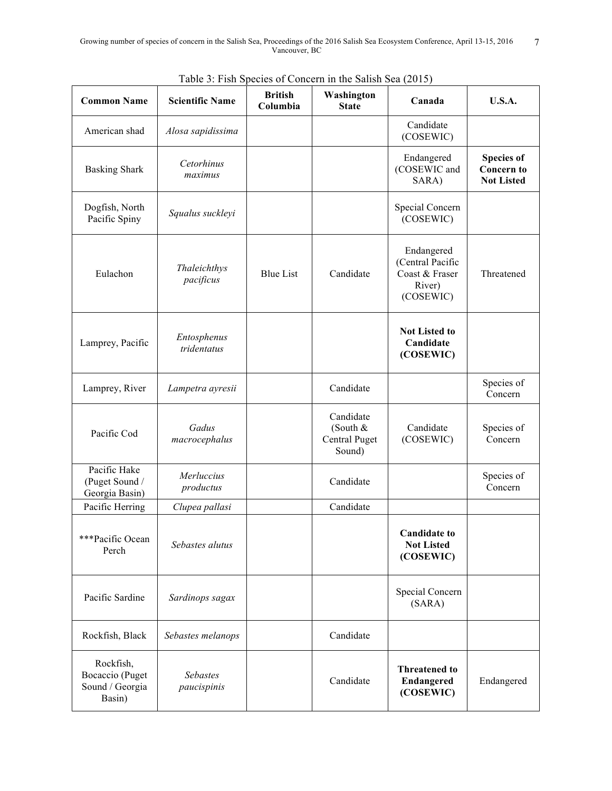| <b>Common Name</b>                                        | <b>Scientific Name</b>     | <b>British</b><br>Columbia | Washington<br><b>State</b>                       | Canada                                                                  | <b>U.S.A.</b>                                               |
|-----------------------------------------------------------|----------------------------|----------------------------|--------------------------------------------------|-------------------------------------------------------------------------|-------------------------------------------------------------|
| American shad                                             | Alosa sapidissima          |                            |                                                  | Candidate<br>(COSEWIC)                                                  |                                                             |
| <b>Basking Shark</b>                                      | Cetorhinus<br>maximus      |                            |                                                  | Endangered<br>(COSEWIC and<br>SARA)                                     | <b>Species of</b><br><b>Concern to</b><br><b>Not Listed</b> |
| Dogfish, North<br>Pacific Spiny                           | Squalus suckleyi           |                            |                                                  | Special Concern<br>(COSEWIC)                                            |                                                             |
| Eulachon                                                  | Thaleichthys<br>pacificus  | <b>Blue List</b>           | Candidate                                        | Endangered<br>(Central Pacific<br>Coast & Fraser<br>River)<br>(COSEWIC) | Threatened                                                  |
| Lamprey, Pacific                                          | Entosphenus<br>tridentatus |                            |                                                  | <b>Not Listed to</b><br>Candidate<br>(COSEWIC)                          |                                                             |
| Lamprey, River                                            | Lampetra ayresii           |                            | Candidate                                        |                                                                         | Species of<br>Concern                                       |
| Pacific Cod                                               | Gadus<br>macrocephalus     |                            | Candidate<br>(South &<br>Central Puget<br>Sound) | Candidate<br>(COSEWIC)                                                  | Species of<br>Concern                                       |
| Pacific Hake<br>(Puget Sound /<br>Georgia Basin)          | Merluccius<br>productus    |                            | Candidate                                        |                                                                         | Species of<br>Concern                                       |
| Pacific Herring                                           | Clupea pallasi             |                            | Candidate                                        |                                                                         |                                                             |
| ***Pacific Ocean<br>Perch                                 | Sebastes alutus            |                            |                                                  | <b>Candidate to</b><br><b>Not Listed</b><br>(COSEWIC)                   |                                                             |
| Pacific Sardine                                           | Sardinops sagax            |                            |                                                  | Special Concern<br>(SARA)                                               |                                                             |
| Rockfish, Black                                           | Sebastes melanops          |                            | Candidate                                        |                                                                         |                                                             |
| Rockfish,<br>Bocaccio (Puget<br>Sound / Georgia<br>Basin) | Sebastes<br>paucispinis    |                            | Candidate                                        | <b>Threatened to</b><br>Endangered<br>(COSEWIC)                         | Endangered                                                  |

Table 3: Fish Species of Concern in the Salish Sea (2015)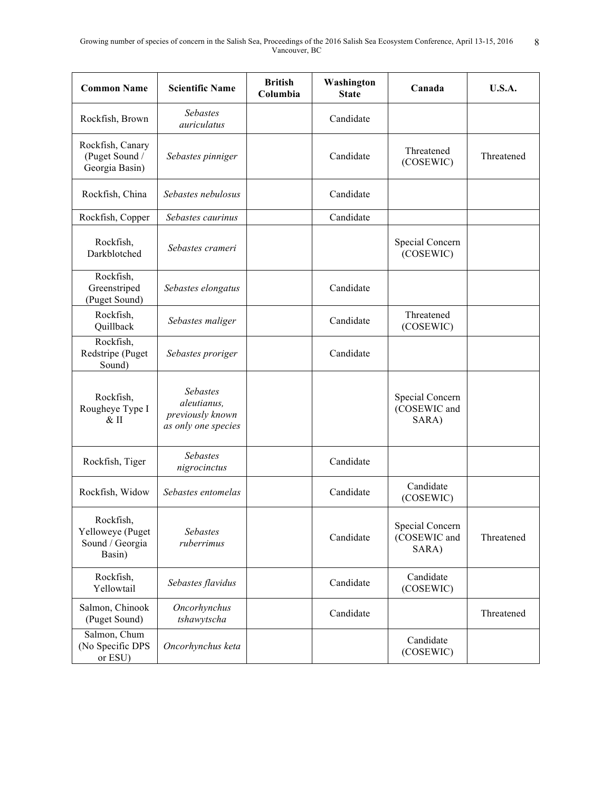| <b>Common Name</b>                                         | <b>Scientific Name</b>                                             | <b>British</b><br>Columbia | Washington<br><b>State</b> | Canada                                   | <b>U.S.A.</b> |
|------------------------------------------------------------|--------------------------------------------------------------------|----------------------------|----------------------------|------------------------------------------|---------------|
| Rockfish, Brown                                            | <b>Sebastes</b><br>auriculatus                                     |                            | Candidate                  |                                          |               |
| Rockfish, Canary<br>(Puget Sound /<br>Georgia Basin)       | Sebastes pinniger                                                  |                            | Candidate                  | Threatened<br>(COSEWIC)                  | Threatened    |
| Rockfish, China                                            | Sebastes nebulosus                                                 |                            | Candidate                  |                                          |               |
| Rockfish, Copper                                           | Sebastes caurinus                                                  |                            | Candidate                  |                                          |               |
| Rockfish,<br>Darkblotched                                  | Sebastes crameri                                                   |                            |                            | Special Concern<br>(COSEWIC)             |               |
| Rockfish,<br>Greenstriped<br>(Puget Sound)                 | Sebastes elongatus                                                 |                            | Candidate                  |                                          |               |
| Rockfish,<br>Quillback                                     | Sebastes maliger                                                   |                            | Candidate                  | Threatened<br>(COSEWIC)                  |               |
| Rockfish.<br>Redstripe (Puget<br>Sound)                    | Sebastes proriger                                                  |                            | Candidate                  |                                          |               |
| Rockfish,<br>Rougheye Type I<br>$&$ II                     | Sebastes<br>aleutianus,<br>previously known<br>as only one species |                            |                            | Special Concern<br>(COSEWIC and<br>SARA) |               |
| Rockfish, Tiger                                            | Sebastes<br>nigrocinctus                                           |                            | Candidate                  |                                          |               |
| Rockfish, Widow                                            | Sebastes entomelas                                                 |                            | Candidate                  | Candidate<br>(COSEWIC)                   |               |
| Rockfish,<br>Yelloweye (Puget<br>Sound / Georgia<br>Basin) | Sebastes<br>ruberrimus                                             |                            | Candidate                  | Special Concern<br>(COSEWIC and<br>SARA) | Threatened    |
| Rockfish,<br>Yellowtail                                    | Sebastes flavidus                                                  |                            | Candidate                  | Candidate<br>(COSEWIC)                   |               |
| Salmon, Chinook<br>(Puget Sound)                           | Oncorhynchus<br>tshawytscha                                        |                            | Candidate                  |                                          | Threatened    |
| Salmon, Chum<br>(No Specific DPS<br>or ESU)                | Oncorhynchus keta                                                  |                            |                            | Candidate<br>(COSEWIC)                   |               |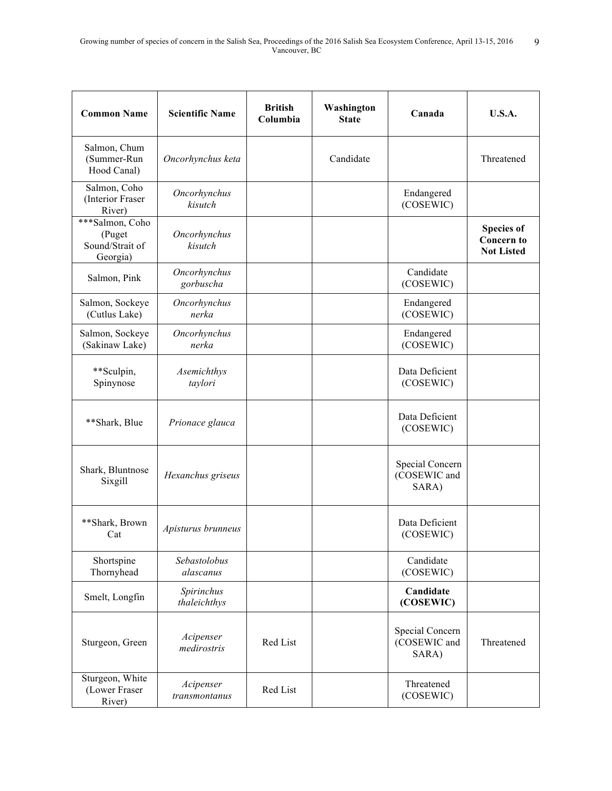| <b>Common Name</b>                                       | <b>Scientific Name</b>     | <b>British</b><br>Columbia | Washington<br><b>State</b> | Canada                                   | <b>U.S.A.</b>                                               |
|----------------------------------------------------------|----------------------------|----------------------------|----------------------------|------------------------------------------|-------------------------------------------------------------|
| Salmon, Chum<br>(Summer-Run<br>Hood Canal)               | Oncorhynchus keta          |                            | Candidate                  |                                          | Threatened                                                  |
| Salmon, Coho<br>(Interior Fraser<br>River)               | Oncorhynchus<br>kisutch    |                            |                            | Endangered<br>(COSEWIC)                  |                                                             |
| ***Salmon, Coho<br>(Puget<br>Sound/Strait of<br>Georgia) | Oncorhynchus<br>kisutch    |                            |                            |                                          | <b>Species of</b><br><b>Concern to</b><br><b>Not Listed</b> |
| Salmon, Pink                                             | Oncorhynchus<br>gorbuscha  |                            |                            | Candidate<br>(COSEWIC)                   |                                                             |
| Salmon, Sockeye<br>(Cutlus Lake)                         | Oncorhynchus<br>nerka      |                            |                            | Endangered<br>(COSEWIC)                  |                                                             |
| Salmon, Sockeye<br>(Sakinaw Lake)                        | Oncorhynchus<br>nerka      |                            |                            | Endangered<br>(COSEWIC)                  |                                                             |
| **Sculpin,<br>Spinynose                                  | Asemichthys<br>taylori     |                            |                            | Data Deficient<br>(COSEWIC)              |                                                             |
| **Shark, Blue                                            | Prionace glauca            |                            |                            | Data Deficient<br>(COSEWIC)              |                                                             |
| Shark, Bluntnose<br>Sixgill                              | Hexanchus griseus          |                            |                            | Special Concern<br>(COSEWIC and<br>SARA) |                                                             |
| **Shark, Brown<br>Cat                                    | Apisturus brunneus         |                            |                            | Data Deficient<br>(COSEWIC)              |                                                             |
| Shortspine<br>Thornyhead                                 | Sebastolobus<br>alascanus  |                            |                            | Candidate<br>(COSEWIC)                   |                                                             |
| Smelt, Longfin                                           | Spirinchus<br>thaleichthys |                            |                            | Candidate<br>(COSEWIC)                   |                                                             |
| Sturgeon, Green                                          | Acipenser<br>medirostris   | Red List                   |                            | Special Concern<br>(COSEWIC and<br>SARA) | Threatened                                                  |
| Sturgeon, White<br>(Lower Fraser<br>River)               | Acipenser<br>transmontanus | Red List                   |                            | Threatened<br>(COSEWIC)                  |                                                             |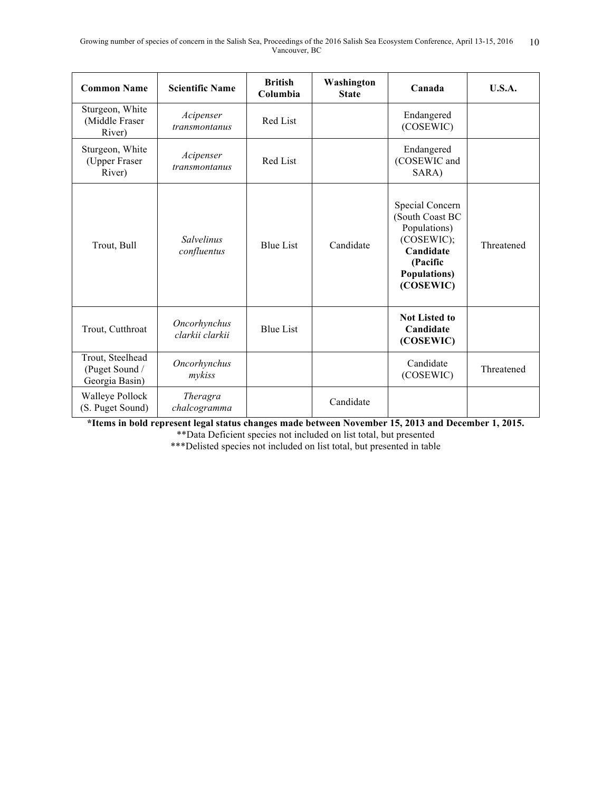| <b>Common Name</b>                                   | <b>Scientific Name</b>           | <b>British</b><br>Columbia | Washington<br><b>State</b> | Canada                                                                                                                         | <b>U.S.A.</b> |
|------------------------------------------------------|----------------------------------|----------------------------|----------------------------|--------------------------------------------------------------------------------------------------------------------------------|---------------|
| Sturgeon, White<br>(Middle Fraser<br>River)          | Acipenser<br>transmontanus       | Red List                   |                            | Endangered<br>(COSEWIC)                                                                                                        |               |
| Sturgeon, White<br>(Upper Fraser<br>River)           | Acipenser<br>transmontanus       | Red List                   |                            | Endangered<br>(COSEWIC and<br>SARA)                                                                                            |               |
| Trout, Bull                                          | <b>Salvelinus</b><br>confluentus | <b>Blue List</b>           | Candidate                  | Special Concern<br>(South Coast BC<br>Populations)<br>(COSEWIC);<br>Candidate<br>(Pacific<br><b>Populations</b> )<br>(COSEWIC) | Threatened    |
| Trout, Cutthroat                                     | Oncorhynchus<br>clarkii clarkii  | <b>Blue List</b>           |                            | <b>Not Listed to</b><br>Candidate<br>(COSEWIC)                                                                                 |               |
| Trout, Steelhead<br>(Puget Sound /<br>Georgia Basin) | Oncorhynchus<br>mykiss           |                            |                            | Candidate<br>(COSEWIC)                                                                                                         | Threatened    |
| Walleye Pollock<br>(S. Puget Sound)                  | Theragra<br>chalcogramma         |                            | Candidate                  |                                                                                                                                |               |

**\*Items in bold represent legal status changes made between November 15, 2013 and December 1, 2015.**

\*\*Data Deficient species not included on list total, but presented

\*\*\*Delisted species not included on list total, but presented in table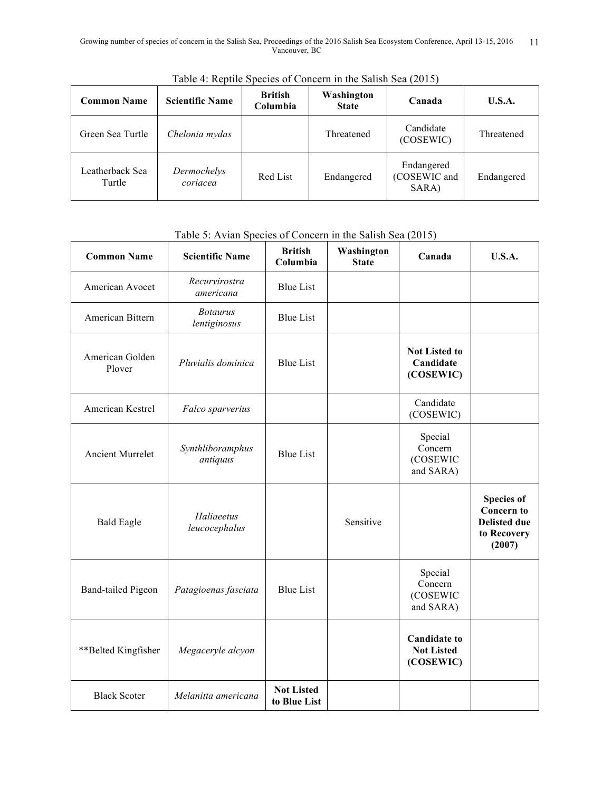| <b>Common Name</b>        | <b>Scientific Name</b>  | <b>British</b><br>Columbia | Washington<br><b>State</b> | Canada                              | <b>U.S.A.</b> |
|---------------------------|-------------------------|----------------------------|----------------------------|-------------------------------------|---------------|
| Green Sea Turtle          | Chelonia mydas          |                            | Threatened                 | Candidate<br>(COSEWIC)              | Threatened    |
| Leatherback Sea<br>Turtle | Dermochelys<br>coriacea | Red List                   | Endangered                 | Endangered<br>(COSEWIC and<br>SARA) | Endangered    |

Table 4: Reptile Species of Concern in the Salish Sea (2015)

## Table 5: Avian Species of Concern in the Salish Sea (2015)

| <b>Common Name</b>        | <b>Scientific Name</b>          | <b>British</b><br>Columbia        | Washington<br><b>State</b> | Canada                                                | U.S.A.                                                                                 |
|---------------------------|---------------------------------|-----------------------------------|----------------------------|-------------------------------------------------------|----------------------------------------------------------------------------------------|
| American Avocet           | Recurvirostra<br>americana      | <b>Blue List</b>                  |                            |                                                       |                                                                                        |
| American Bittern          | <b>Botaurus</b><br>lentiginosus | <b>Blue List</b>                  |                            |                                                       |                                                                                        |
| American Golden<br>Plover | Pluvialis dominica              | <b>Blue List</b>                  |                            | <b>Not Listed to</b><br>Candidate<br>(COSEWIC)        |                                                                                        |
| American Kestrel          | Falco sparverius                |                                   |                            | Candidate<br>(COSEWIC)                                |                                                                                        |
| <b>Ancient Murrelet</b>   | Synthliboramphus<br>antiquus    | <b>Blue List</b>                  |                            | Special<br>Concern<br>(COSEWIC<br>and SARA)           |                                                                                        |
| <b>Bald Eagle</b>         | Haliaeetus<br>leucocephalus     |                                   | Sensitive                  |                                                       | <b>Species of</b><br><b>Concern to</b><br><b>Delisted due</b><br>to Recovery<br>(2007) |
| <b>Band-tailed Pigeon</b> | Patagioenas fasciata            | <b>Blue List</b>                  |                            | Special<br>Concern<br>(COSEWIC<br>and SARA)           |                                                                                        |
| **Belted Kingfisher       | Megaceryle alcyon               |                                   |                            | <b>Candidate to</b><br><b>Not Listed</b><br>(COSEWIC) |                                                                                        |
| <b>Black Scoter</b>       | Melanitta americana             | <b>Not Listed</b><br>to Blue List |                            |                                                       |                                                                                        |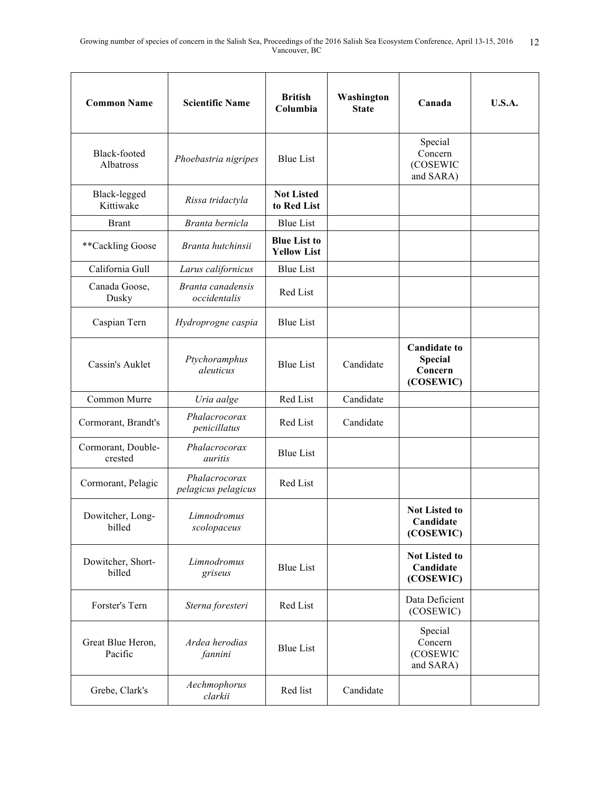| <b>Common Name</b>            | <b>Scientific Name</b>               | <b>British</b><br>Columbia                | Washington<br><b>State</b> | Canada                                                        | <b>U.S.A.</b> |
|-------------------------------|--------------------------------------|-------------------------------------------|----------------------------|---------------------------------------------------------------|---------------|
| Black-footed<br>Albatross     | Phoebastria nigripes                 | <b>Blue List</b>                          |                            | Special<br>Concern<br>(COSEWIC<br>and SARA)                   |               |
| Black-legged<br>Kittiwake     | Rissa tridactyla                     | <b>Not Listed</b><br>to Red List          |                            |                                                               |               |
| <b>Brant</b>                  | Branta bernicla                      | <b>Blue List</b>                          |                            |                                                               |               |
| **Cackling Goose              | Branta hutchinsii                    | <b>Blue List to</b><br><b>Yellow List</b> |                            |                                                               |               |
| California Gull               | Larus californicus                   | <b>Blue List</b>                          |                            |                                                               |               |
| Canada Goose,<br>Dusky        | Branta canadensis<br>occidentalis    | Red List                                  |                            |                                                               |               |
| Caspian Tern                  | Hydroprogne caspia                   | <b>Blue List</b>                          |                            |                                                               |               |
| Cassin's Auklet               | Ptychoramphus<br>aleuticus           | <b>Blue List</b>                          | Candidate                  | <b>Candidate to</b><br><b>Special</b><br>Concern<br>(COSEWIC) |               |
| Common Murre                  | Uria aalge                           | Red List                                  | Candidate                  |                                                               |               |
| Cormorant, Brandt's           | Phalacrocorax<br>penicillatus        | Red List                                  | Candidate                  |                                                               |               |
| Cormorant, Double-<br>crested | Phalacrocorax<br>auritis             | <b>Blue List</b>                          |                            |                                                               |               |
| Cormorant, Pelagic            | Phalacrocorax<br>pelagicus pelagicus | Red List                                  |                            |                                                               |               |
| Dowitcher, Long-<br>billed    | Limnodromus<br>scolopaceus           |                                           |                            | <b>Not Listed to</b><br>Candidate<br>(COSEWIC)                |               |
| Dowitcher, Short-<br>billed   | Limnodromus<br>griseus               | <b>Blue List</b>                          |                            | <b>Not Listed to</b><br>Candidate<br>(COSEWIC)                |               |
| Forster's Tern                | Sterna foresteri                     | Red List                                  |                            | Data Deficient<br>(COSEWIC)                                   |               |
| Great Blue Heron,<br>Pacific  | Ardea herodias<br>fannini            | <b>Blue List</b>                          |                            | Special<br>Concern<br>(COSEWIC<br>and SARA)                   |               |
| Grebe, Clark's                | Aechmophorus<br>clarkii              | Red list                                  | Candidate                  |                                                               |               |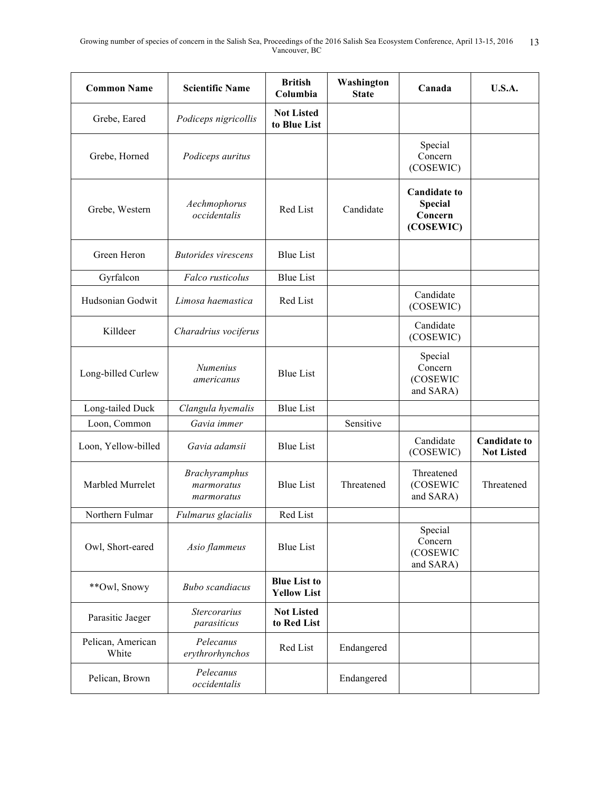| <b>Common Name</b>         | <b>Scientific Name</b>                    | <b>British</b><br>Columbia                | Washington<br><b>State</b> | Canada                                                        | U.S.A.                                   |
|----------------------------|-------------------------------------------|-------------------------------------------|----------------------------|---------------------------------------------------------------|------------------------------------------|
| Grebe, Eared               | Podiceps nigricollis                      | <b>Not Listed</b><br>to Blue List         |                            |                                                               |                                          |
| Grebe, Horned              | Podiceps auritus                          |                                           |                            | Special<br>Concern<br>(COSEWIC)                               |                                          |
| Grebe, Western             | Aechmophorus<br>occidentalis              | Red List                                  | Candidate                  | <b>Candidate to</b><br><b>Special</b><br>Concern<br>(COSEWIC) |                                          |
| Green Heron                | <b>Butorides</b> virescens                | <b>Blue List</b>                          |                            |                                                               |                                          |
| Gyrfalcon                  | Falco rusticolus                          | <b>Blue List</b>                          |                            |                                                               |                                          |
| Hudsonian Godwit           | Limosa haemastica                         | Red List                                  |                            | Candidate<br>(COSEWIC)                                        |                                          |
| Killdeer                   | Charadrius vociferus                      |                                           |                            | Candidate<br>(COSEWIC)                                        |                                          |
| Long-billed Curlew         | Numenius<br>americanus                    | <b>Blue List</b>                          |                            | Special<br>Concern<br>(COSEWIC<br>and SARA)                   |                                          |
| Long-tailed Duck           | Clangula hyemalis                         | <b>Blue List</b>                          |                            |                                                               |                                          |
| Loon, Common               | Gavia immer                               |                                           | Sensitive                  |                                                               |                                          |
| Loon, Yellow-billed        | Gavia adamsii                             | <b>Blue List</b>                          |                            | Candidate<br>(COSEWIC)                                        | <b>Candidate to</b><br><b>Not Listed</b> |
| Marbled Murrelet           | Brachyramphus<br>marmoratus<br>marmoratus | <b>Blue List</b>                          | Threatened                 | Threatened<br>(COSEWIC<br>and SARA)                           | Threatened                               |
| Northern Fulmar            | Fulmarus glacialis                        | Red List                                  |                            |                                                               |                                          |
| Owl, Short-eared           | Asio flammeus                             | <b>Blue List</b>                          |                            | Special<br>Concern<br>(COSEWIC<br>and SARA)                   |                                          |
| **Owl, Snowy               | <b>Bubo</b> scandiacus                    | <b>Blue List to</b><br><b>Yellow List</b> |                            |                                                               |                                          |
| Parasitic Jaeger           | <b>Stercorarius</b><br>parasiticus        | <b>Not Listed</b><br>to Red List          |                            |                                                               |                                          |
| Pelican, American<br>White | Pelecanus<br>erythrorhynchos              | Red List                                  | Endangered                 |                                                               |                                          |
| Pelican, Brown             | Pelecanus<br>occidentalis                 |                                           | Endangered                 |                                                               |                                          |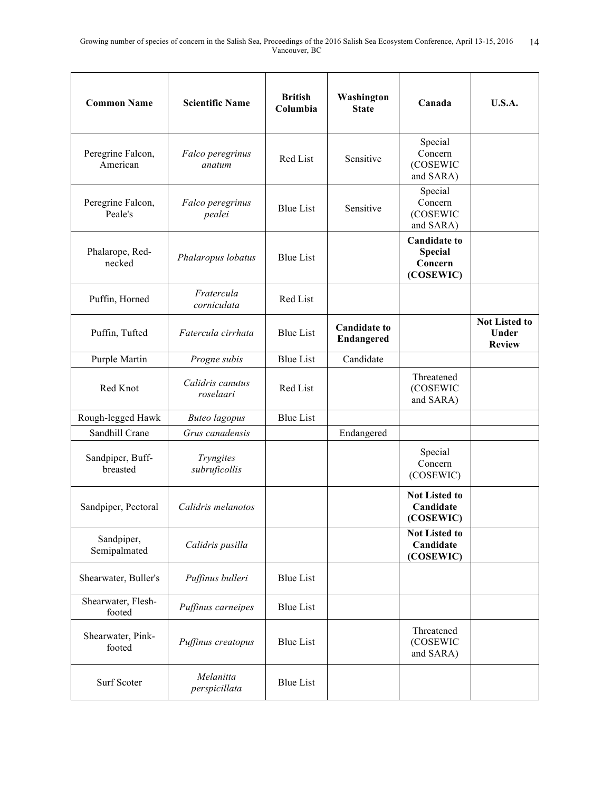| <b>Common Name</b>            | <b>Scientific Name</b>        | <b>British</b><br>Columbia | Washington<br><b>State</b>        | Canada                                                 | <b>U.S.A.</b>                                  |
|-------------------------------|-------------------------------|----------------------------|-----------------------------------|--------------------------------------------------------|------------------------------------------------|
| Peregrine Falcon,<br>American | Falco peregrinus<br>anatum    | Red List                   | Sensitive                         | Special<br>Concern<br>(COSEWIC<br>and SARA)            |                                                |
| Peregrine Falcon,<br>Peale's  | Falco peregrinus<br>pealei    | <b>Blue List</b>           | Sensitive                         | Special<br>Concern<br>(COSEWIC<br>and SARA)            |                                                |
| Phalarope, Red-<br>necked     | Phalaropus lobatus            | <b>Blue List</b>           |                                   | <b>Candidate to</b><br>Special<br>Concern<br>(COSEWIC) |                                                |
| Puffin, Horned                | Fratercula<br>corniculata     | Red List                   |                                   |                                                        |                                                |
| Puffin, Tufted                | Fatercula cirrhata            | <b>Blue List</b>           | <b>Candidate to</b><br>Endangered |                                                        | <b>Not Listed to</b><br>Under<br><b>Review</b> |
| Purple Martin                 | Progne subis                  | <b>Blue List</b>           | Candidate                         |                                                        |                                                |
| Red Knot                      | Calidris canutus<br>roselaari | Red List                   |                                   | Threatened<br>(COSEWIC<br>and SARA)                    |                                                |
| Rough-legged Hawk             | <b>Buteo</b> lagopus          | <b>Blue List</b>           |                                   |                                                        |                                                |
| Sandhill Crane                | Grus canadensis               |                            | Endangered                        |                                                        |                                                |
| Sandpiper, Buff-<br>breasted  | Tryngites<br>subruficollis    |                            |                                   | Special<br>Concern<br>(COSEWIC)                        |                                                |
| Sandpiper, Pectoral           | Calidris melanotos            |                            |                                   | <b>Not Listed to</b><br>Candidate<br>(COSEWIC)         |                                                |
| Sandpiper,<br>Semipalmated    | Calidris pusilla              |                            |                                   | <b>Not Listed to</b><br>Candidate<br>(COSEWIC)         |                                                |
| Shearwater, Buller's          | Puffinus bulleri              | <b>Blue List</b>           |                                   |                                                        |                                                |
| Shearwater, Flesh-<br>footed  | Puffinus carneipes            | <b>Blue List</b>           |                                   |                                                        |                                                |
| Shearwater, Pink-<br>footed   | Puffinus creatopus            | <b>Blue List</b>           |                                   | Threatened<br>(COSEWIC<br>and SARA)                    |                                                |
| Surf Scoter                   | Melanitta<br>perspicillata    | <b>Blue List</b>           |                                   |                                                        |                                                |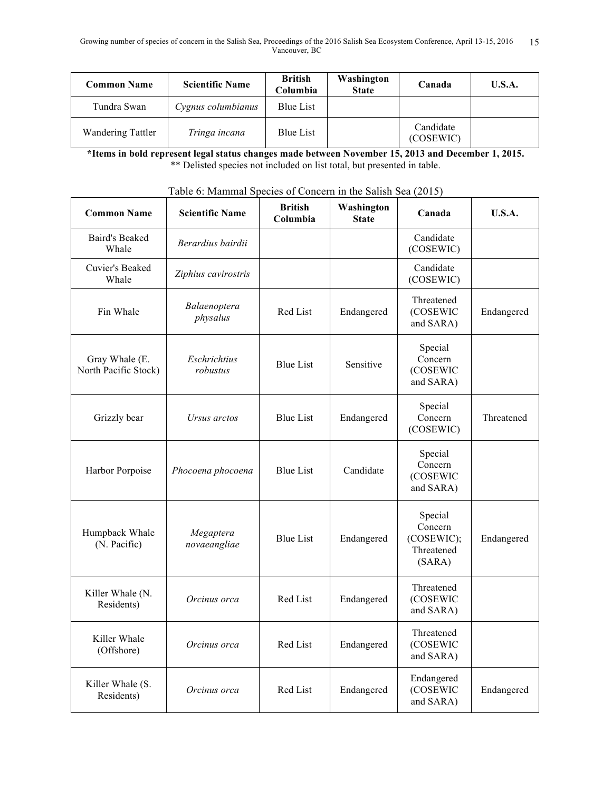| <b>Common Name</b>       | <b>Scientific Name</b> | <b>British</b><br>Columbia | Washington<br><b>State</b> | Canada                 | <b>U.S.A.</b> |
|--------------------------|------------------------|----------------------------|----------------------------|------------------------|---------------|
| Tundra Swan              | Cygnus columbianus     | Blue List                  |                            |                        |               |
| <b>Wandering Tattler</b> | Tringa incana          | Blue List                  |                            | Candidate<br>(COSEWIC) |               |

**\*Items in bold represent legal status changes made between November 15, 2013 and December 1, 2015.** \*\* Delisted species not included on list total, but presented in table.

| <b>Common Name</b>                     | I ably 0. Imalifinal Species of Concern in the Sansh Sea (2015)<br><b>Scientific Name</b> | <b>British</b><br>Columbia | Washington<br><b>State</b> | Canada                                                   | <b>U.S.A.</b> |
|----------------------------------------|-------------------------------------------------------------------------------------------|----------------------------|----------------------------|----------------------------------------------------------|---------------|
| <b>Baird's Beaked</b><br>Whale         | Berardius bairdii                                                                         |                            |                            | Candidate<br>(COSEWIC)                                   |               |
| Cuvier's Beaked<br>Whale               | Ziphius cavirostris                                                                       |                            |                            | Candidate<br>(COSEWIC)                                   |               |
| Fin Whale                              | Balaenoptera<br>physalus                                                                  | Red List                   | Endangered                 | Threatened<br>(COSEWIC<br>and SARA)                      | Endangered    |
| Gray Whale (E.<br>North Pacific Stock) | Eschrichtius<br>robustus                                                                  | <b>Blue List</b>           | Sensitive                  | Special<br>Concern<br>(COSEWIC<br>and SARA)              |               |
| Grizzly bear                           | Ursus arctos                                                                              | <b>Blue List</b>           | Endangered                 | Special<br>Concern<br>(COSEWIC)                          | Threatened    |
| Harbor Porpoise                        | Phocoena phocoena                                                                         | <b>Blue List</b>           | Candidate                  | Special<br>Concern<br>(COSEWIC<br>and SARA)              |               |
| Humpback Whale<br>(N. Pacific)         | Megaptera<br>novaeangliae                                                                 | <b>Blue List</b>           | Endangered                 | Special<br>Concern<br>(COSEWIC);<br>Threatened<br>(SARA) | Endangered    |
| Killer Whale (N.<br>Residents)         | Orcinus orca                                                                              | Red List                   | Endangered                 | Threatened<br>(COSEWIC<br>and SARA)                      |               |
| Killer Whale<br>(Offshore)             | Orcinus orca                                                                              | Red List                   | Endangered                 | Threatened<br>(COSEWIC<br>and SARA)                      |               |
| Killer Whale (S.<br>Residents)         | Orcinus orca                                                                              | Red List                   | Endangered                 | Endangered<br>(COSEWIC<br>and SARA)                      | Endangered    |

| Table 6: Mammal Species of Concern in the Salish Sea (2015) |  |  |
|-------------------------------------------------------------|--|--|
|                                                             |  |  |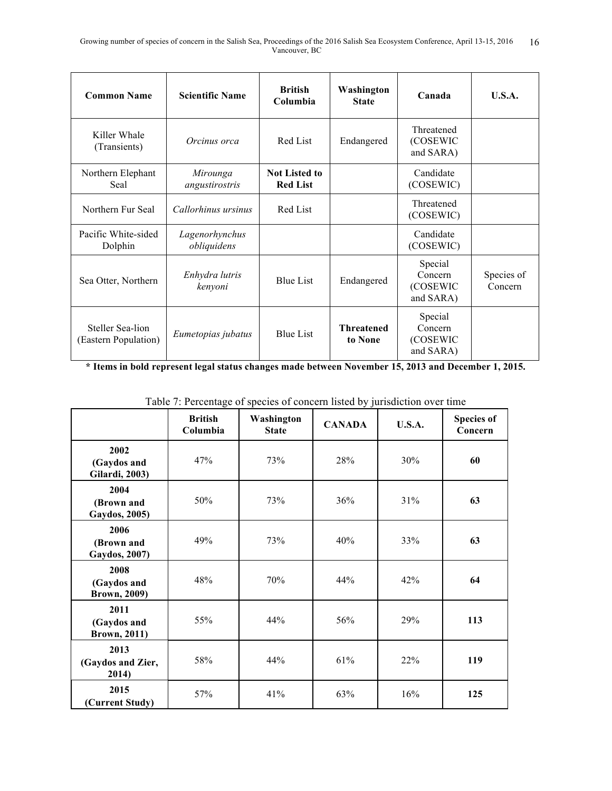| <b>Common Name</b>                       | <b>Scientific Name</b>        | <b>British</b><br>Columbia              | Washington<br><b>State</b>   | Canada                                      | <b>U.S.A.</b>         |
|------------------------------------------|-------------------------------|-----------------------------------------|------------------------------|---------------------------------------------|-----------------------|
| Killer Whale<br>(Transients)             | Orcinus orca                  | Red List                                | Endangered                   | Threatened<br>(COSEWIC<br>and SARA)         |                       |
| Northern Elephant<br>Seal                | Mirounga<br>angustirostris    | <b>Not Listed to</b><br><b>Red List</b> |                              | Candidate<br>(COSEWIC)                      |                       |
| Northern Fur Seal                        | Callorhinus ursinus           | Red List                                |                              | Threatened<br>(COSEWIC)                     |                       |
| Pacific White-sided<br>Dolphin           | Lagenorhynchus<br>obliquidens |                                         |                              | Candidate<br>(COSEWIC)                      |                       |
| Sea Otter, Northern                      | Enhydra lutris<br>kenyoni     | <b>Blue List</b>                        | Endangered                   | Special<br>Concern<br>(COSEWIC<br>and SARA) | Species of<br>Concern |
| Steller Sea-lion<br>(Eastern Population) | Eumetopias jubatus            | <b>Blue List</b>                        | <b>Threatened</b><br>to None | Special<br>Concern<br>(COSEWIC<br>and SARA) |                       |

**\* Items in bold represent legal status changes made between November 15, 2013 and December 1, 2015.**

|                                               | <b>British</b><br>Columbia | Washington<br><b>State</b> | <b>CANADA</b> | <b>U.S.A.</b> | <b>Species of</b><br>Concern |
|-----------------------------------------------|----------------------------|----------------------------|---------------|---------------|------------------------------|
| 2002<br>(Gaydos and<br><b>Gilardi</b> , 2003) | 47%                        | 73%                        | 28%           | 30%           | 60                           |
| 2004<br>(Brown and<br>Gaydos, 2005)           | 50%                        | 73%                        | 36%           | 31%           | 63                           |
| 2006<br>(Brown and<br>Gaydos, 2007)           | 49%                        | 73%                        | 40%           | 33%           | 63                           |
| 2008<br>(Gaydos and<br><b>Brown, 2009)</b>    | 48%                        | 70%                        | 44%           | 42%           | 64                           |
| 2011<br>(Gaydos and<br><b>Brown</b> , 2011)   | 55%                        | 44%                        | 56%           | 29%           | 113                          |
| 2013<br>(Gaydos and Zier,<br>2014)            | 58%                        | 44%                        | 61%           | 22%           | 119                          |
| 2015<br>(Current Study)                       | 57%                        | 41%                        | 63%           | 16%           | 125                          |

| Table 7: Percentage of species of concern listed by jurisdiction over time |  |  |  |
|----------------------------------------------------------------------------|--|--|--|
|                                                                            |  |  |  |